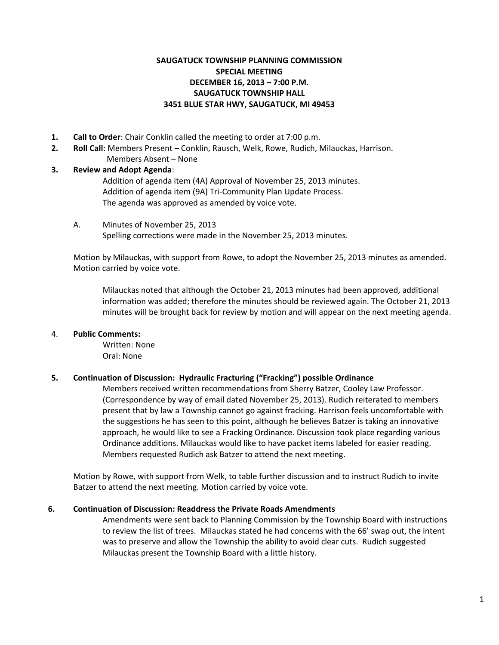# **SAUGATUCK TOWNSHIP PLANNING COMMISSION SPECIAL MEETING DECEMBER 16, 2013 – 7:00 P.M. SAUGATUCK TOWNSHIP HALL 3451 BLUE STAR HWY, SAUGATUCK, MI 49453**

- **1. Call to Order**: Chair Conklin called the meeting to order at 7:00 p.m.
- **2. Roll Call**: Members Present Conklin, Rausch, Welk, Rowe, Rudich, Milauckas, Harrison.
- Members Absent None

# **3. Review and Adopt Agenda**:

Addition of agenda item (4A) Approval of November 25, 2013 minutes. Addition of agenda item (9A) Tri-Community Plan Update Process. The agenda was approved as amended by voice vote.

A. Minutes of November 25, 2013 Spelling corrections were made in the November 25, 2013 minutes.

Motion by Milauckas, with support from Rowe, to adopt the November 25, 2013 minutes as amended. Motion carried by voice vote.

Milauckas noted that although the October 21, 2013 minutes had been approved, additional information was added; therefore the minutes should be reviewed again. The October 21, 2013 minutes will be brought back for review by motion and will appear on the next meeting agenda.

### 4. **Public Comments:**

Written: None Oral: None

### **5. Continuation of Discussion: Hydraulic Fracturing ("Fracking") possible Ordinance**

Members received written recommendations from Sherry Batzer, Cooley Law Professor. (Correspondence by way of email dated November 25, 2013). Rudich reiterated to members present that by law a Township cannot go against fracking. Harrison feels uncomfortable with the suggestions he has seen to this point, although he believes Batzer is taking an innovative approach, he would like to see a Fracking Ordinance. Discussion took place regarding various Ordinance additions. Milauckas would like to have packet items labeled for easier reading. Members requested Rudich ask Batzer to attend the next meeting.

Motion by Rowe, with support from Welk, to table further discussion and to instruct Rudich to invite Batzer to attend the next meeting. Motion carried by voice vote.

### **6. Continuation of Discussion: Readdress the Private Roads Amendments**

Amendments were sent back to Planning Commission by the Township Board with instructions to review the list of trees. Milauckas stated he had concerns with the 66' swap out, the intent was to preserve and allow the Township the ability to avoid clear cuts. Rudich suggested Milauckas present the Township Board with a little history.